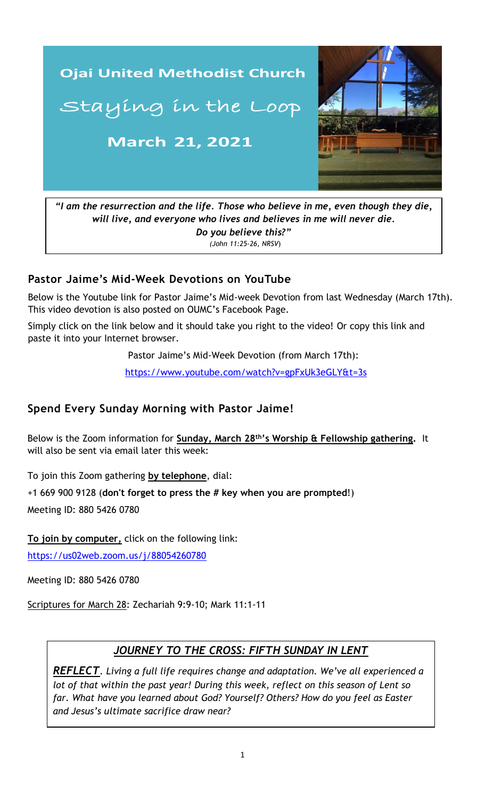

*"I am the resurrection and the life. Those who believe in me, even though they die, will live, and everyone who lives and believes in me will never die. Do you believe this?" (John 11:25-26, NRSV*)

### **Pastor Jaime's Mid-Week Devotions on YouTube**

Below is the Youtube link for Pastor Jaime's Mid-week Devotion from last Wednesday (March 17th). This video devotion is also posted on OUMC's Facebook Page.

Simply click on the link below and it should take you right to the video! Or copy this link and paste it into your Internet browser.

Pastor Jaime's Mid-Week Devotion (from March 17th):

 [https://www.youtube.com/watch?v=gpFxUk3eGLY&t=3s](https://www.youtube.com/watch?v=9a1adEVMI4U&t=6s)

# **Spend Every Sunday Morning with Pastor Jaime!**

Below is the Zoom information for **Sunday, March 28 th's Worship & Fellowship gathering.** It will also be sent via email later this week:

To join this Zoom gathering **by telephone**, dial:

+1 669 900 9128 (**don't forget to press the # key when you are prompted**!)

Meeting ID: 880 5426 0780

**To join by computer,** click on the following link:

<https://us02web.zoom.us/j/88054260780>

Meeting ID: 880 5426 0780

Scriptures for March 28: Zechariah 9:9-10; Mark 11:1-11

#### *JOURNEY TO THE CROSS: FIFTH SUNDAY IN LENT*

*REFLECT. Living a full life requires change and adaptation. We've all experienced a lot of that within the past year! During this week, reflect on this season of Lent so far. What have you learned about God? Yourself? Others? How do you feel as Easter and Jesus's ultimate sacrifice draw near?*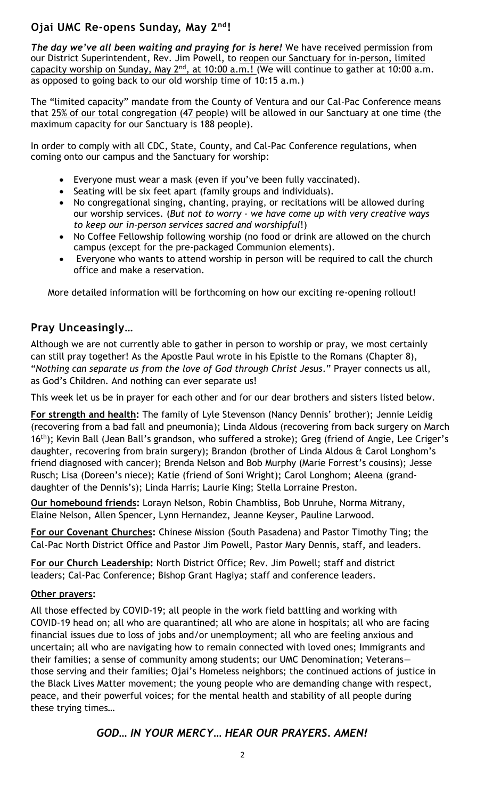# **Ojai UMC Re-opens Sunday, May 2nd!**

*The day we've all been waiting and praying for is here!* We have received permission from our District Superintendent, Rev. Jim Powell, to reopen our Sanctuary for in-person, limited capacity worship on Sunday, May 2<sup>nd</sup>, at 10:00 a.m.! (We will continue to gather at 10:00 a.m. as opposed to going back to our old worship time of 10:15 a.m.)

The "limited capacity" mandate from the County of Ventura and our Cal-Pac Conference means that 25% of our total congregation (47 people) will be allowed in our Sanctuary at one time (the maximum capacity for our Sanctuary is 188 people).

In order to comply with all CDC, State, County, and Cal-Pac Conference regulations, when coming onto our campus and the Sanctuary for worship:

- Everyone must wear a mask (even if you've been fully vaccinated).
- Seating will be six feet apart (family groups and individuals).
- No congregational singing, chanting, praying, or recitations will be allowed during our worship services. (*But not to worry - we have come up with very creative ways to keep our in-person services sacred and worshipful*!)
- No Coffee Fellowship following worship (no food or drink are allowed on the church campus (except for the pre-packaged Communion elements).
- Everyone who wants to attend worship in person will be required to call the church office and make a reservation.

More detailed information will be forthcoming on how our exciting re-opening rollout!

# **Pray Unceasingly…**

Although we are not currently able to gather in person to worship or pray, we most certainly can still pray together! As the Apostle Paul wrote in his Epistle to the Romans (Chapter 8), "*Nothing can separate us from the love of God through Christ Jesus*." Prayer connects us all, as God's Children. And nothing can ever separate us!

This week let us be in prayer for each other and for our dear brothers and sisters listed below.

**For strength and health:** The family of Lyle Stevenson (Nancy Dennis' brother); Jennie Leidig (recovering from a bad fall and pneumonia); Linda Aldous (recovering from back surgery on March 16<sup>th</sup>); Kevin Ball (Jean Ball's grandson, who suffered a stroke); Greg (friend of Angie, Lee Criger's daughter, recovering from brain surgery); Brandon (brother of Linda Aldous & Carol Longhom's friend diagnosed with cancer); Brenda Nelson and Bob Murphy (Marie Forrest's cousins); Jesse Rusch; Lisa (Doreen's niece); Katie (friend of Soni Wright); Carol Longhom; Aleena (granddaughter of the Dennis's); Linda Harris; Laurie King; Stella Lorraine Preston.

**Our homebound friends:** Lorayn Nelson, Robin Chambliss, Bob Unruhe, Norma Mitrany, Elaine Nelson, Allen Spencer, Lynn Hernandez, Jeanne Keyser, Pauline Larwood.

**For our Covenant Churches:** Chinese Mission (South Pasadena) and Pastor Timothy Ting; the Cal-Pac North District Office and Pastor Jim Powell, Pastor Mary Dennis, staff, and leaders.

**For our Church Leadership:** North District Office; Rev. Jim Powell; staff and district leaders; Cal-Pac Conference; Bishop Grant Hagiya; staff and conference leaders.

#### **Other prayers:**

uncertain; all who are navigating how to remain connected with loved ones; Immigrants and All those effected by COVID-19; all people in the work field battling and working with COVID-19 head on; all who are quarantined; all who are alone in hospitals; all who are facing financial issues due to loss of jobs and/or unemployment; all who are feeling anxious and their families; a sense of community among students; our UMC Denomination; Veterans those serving and their families; Ojai's Homeless neighbors; the continued actions of justice in the Black Lives Matter movement; the young people who are demanding change with respect, peace, and their powerful voices; for the mental health and stability of all people during these trying times…

#### *GOD… IN YOUR MERCY… HEAR OUR PRAYERS. AMEN!*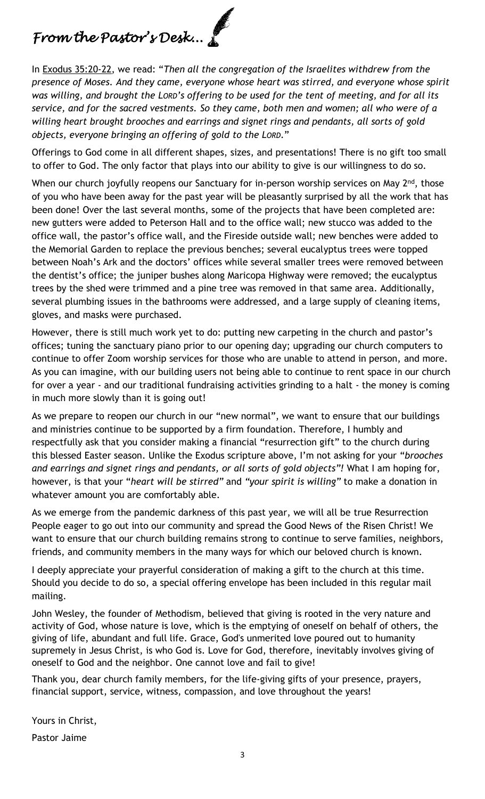# *From the Pastor's Desk...*

In Exodus 35:20-22, we read: "*Then all the congregation of the Israelites withdrew from the presence of Moses. And they came, everyone whose heart was stirred, and everyone whose spirit was willing, and brought the LORD's offering to be used for the tent of meeting, and for all its service, and for the sacred vestments. So they came, both men and women; all who were of a willing heart brought brooches and earrings and signet rings and pendants, all sorts of gold objects, everyone bringing an offering of gold to the LORD*."

Offerings to God come in all different shapes, sizes, and presentations! There is no gift too small to offer to God. The only factor that plays into our ability to give is our willingness to do so.

When our church joyfully reopens our Sanctuary for in-person worship services on May 2<sup>nd</sup>, those of you who have been away for the past year will be pleasantly surprised by all the work that has been done! Over the last several months, some of the projects that have been completed are: new gutters were added to Peterson Hall and to the office wall; new stucco was added to the office wall, the pastor's office wall, and the Fireside outside wall; new benches were added to the Memorial Garden to replace the previous benches; several eucalyptus trees were topped between Noah's Ark and the doctors' offices while several smaller trees were removed between the dentist's office; the juniper bushes along Maricopa Highway were removed; the eucalyptus trees by the shed were trimmed and a pine tree was removed in that same area. Additionally, several plumbing issues in the bathrooms were addressed, and a large supply of cleaning items, gloves, and masks were purchased.

However, there is still much work yet to do: putting new carpeting in the church and pastor's offices; tuning the sanctuary piano prior to our opening day; upgrading our church computers to continue to offer Zoom worship services for those who are unable to attend in person, and more. As you can imagine, with our building users not being able to continue to rent space in our church for over a year - and our traditional fundraising activities grinding to a halt - the money is coming in much more slowly than it is going out!

As we prepare to reopen our church in our "new normal", we want to ensure that our buildings and ministries continue to be supported by a firm foundation. Therefore, I humbly and respectfully ask that you consider making a financial "resurrection gift" to the church during this blessed Easter season. Unlike the Exodus scripture above, I'm not asking for your "*brooches and earrings and signet rings and pendants, or all sorts of gold objects"!* What I am hoping for, however, is that your "*heart will be stirred"* and *"your spirit is willing"* to make a donation in whatever amount you are comfortably able.

As we emerge from the pandemic darkness of this past year, we will all be true Resurrection People eager to go out into our community and spread the Good News of the Risen Christ! We want to ensure that our church building remains strong to continue to serve families, neighbors, friends, and community members in the many ways for which our beloved church is known.

I deeply appreciate your prayerful consideration of making a gift to the church at this time. Should you decide to do so, a special offering envelope has been included in this regular mail mailing.

John Wesley, the founder of Methodism, believed that giving is rooted in the very nature and activity of God, whose nature is love, which is the emptying of oneself on behalf of others, the giving of life, abundant and full life. Grace, God's unmerited love poured out to humanity supremely in Jesus Christ, is who God is. Love for God, therefore, inevitably involves giving of oneself to God and the neighbor. One cannot love and fail to give!

Thank you, dear church family members, for the life-giving gifts of your presence, prayers, financial support, service, witness, compassion, and love throughout the years!

Yours in Christ,

Pastor Jaime